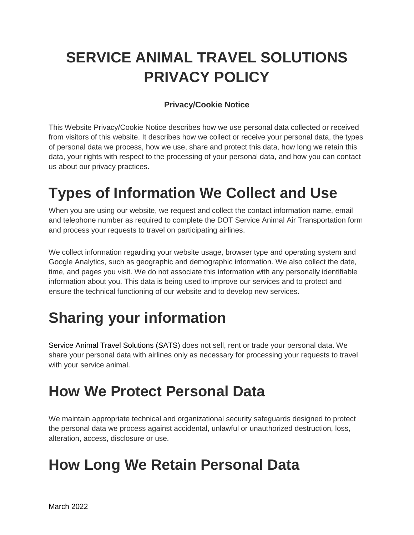# **SERVICE ANIMAL TRAVEL SOLUTIONS PRIVACY POLICY**

#### **Privacy/Cookie Notice**

This Website Privacy/Cookie Notice describes how we use personal data collected or received from visitors of this website. It describes how we collect or receive your personal data, the types of personal data we process, how we use, share and protect this data, how long we retain this data, your rights with respect to the processing of your personal data, and how you can contact us about our privacy practices.

# **Types of Information We Collect and Use**

When you are using our website, we request and collect the contact information name, email and telephone number as required to complete the DOT Service Animal Air Transportation form and process your requests to travel on participating airlines.

We collect information regarding your website usage, browser type and operating system and Google Analytics, such as geographic and demographic information. We also collect the date, time, and pages you visit. We do not associate this information with any personally identifiable information about you. This data is being used to improve our services and to protect and ensure the technical functioning of our website and to develop new services.

# **Sharing your information**

Service Animal Travel Solutions (SATS) does not sell, rent or trade your personal data. We share your personal data with airlines only as necessary for processing your requests to travel with your service animal.

### **How We Protect Personal Data**

We maintain appropriate technical and organizational security safeguards designed to protect the personal data we process against accidental, unlawful or unauthorized destruction, loss, alteration, access, disclosure or use.

### **How Long We Retain Personal Data**